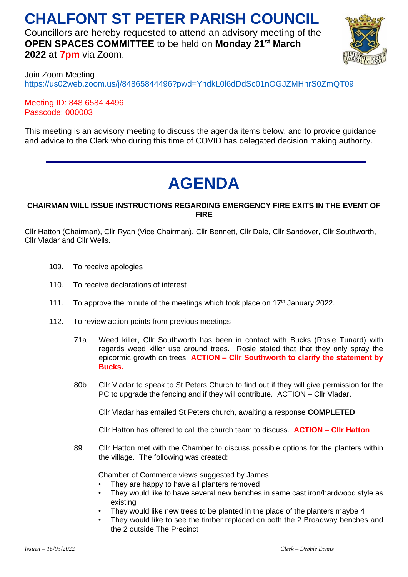# **CHALFONT ST PETER PARISH COUNCIL**

Councillors are hereby requested to attend an advisory meeting of the **OPEN SPACES COMMITTEE** to be held on **Monday 21st March 2022 at 7pm** via Zoom.



Join Zoom Meeting <https://us02web.zoom.us/j/84865844496?pwd=YndkL0l6dDdSc01nOGJZMHhrS0ZmQT09>

Meeting ID: 848 6584 4496 Passcode: 000003

This meeting is an advisory meeting to discuss the agenda items below, and to provide guidance and advice to the Clerk who during this time of COVID has delegated decision making authority.

# **AGENDA**

## **CHAIRMAN WILL ISSUE INSTRUCTIONS REGARDING EMERGENCY FIRE EXITS IN THE EVENT OF FIRE**

Cllr Hatton (Chairman), Cllr Ryan (Vice Chairman), Cllr Bennett, Cllr Dale, Cllr Sandover, Cllr Southworth, Cllr Vladar and Cllr Wells.

- 109. To receive apologies
- 110. To receive declarations of interest
- 111. To approve the minute of the meetings which took place on 17<sup>th</sup> January 2022.
- 112. To review action points from previous meetings
	- 71a Weed killer, Cllr Southworth has been in contact with Bucks (Rosie Tunard) with regards weed killer use around trees. Rosie stated that that they only spray the epicormic growth on trees **ACTION – Cllr Southworth to clarify the statement by Bucks.**
	- 80b Cllr Vladar to speak to St Peters Church to find out if they will give permission for the PC to upgrade the fencing and if they will contribute. ACTION – Cllr Vladar.

Cllr Vladar has emailed St Peters church, awaiting a response **COMPLETED**

Cllr Hatton has offered to call the church team to discuss. **ACTION – Cllr Hatton**

89 Cllr Hatton met with the Chamber to discuss possible options for the planters within the village. The following was created:

Chamber of Commerce views suggested by James

- They are happy to have all planters removed
- They would like to have several new benches in same cast iron/hardwood style as existing
- They would like new trees to be planted in the place of the planters maybe 4
- They would like to see the timber replaced on both the 2 Broadway benches and the 2 outside The Precinct